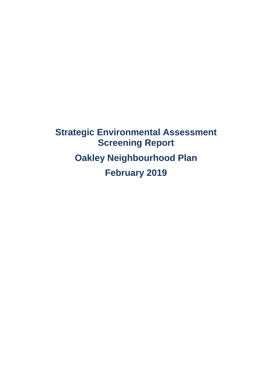**Strategic Environmental Assessment Screening Report Oakley Neighbourhood Plan February 2019**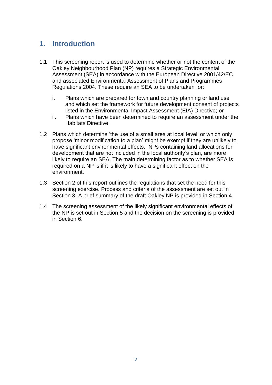# **1. Introduction**

- 1.1 This screening report is used to determine whether or not the content of the Oakley Neighbourhood Plan (NP) requires a Strategic Environmental Assessment (SEA) in accordance with the European Directive 2001/42/EC and associated Environmental Assessment of Plans and Programmes Regulations 2004. These require an SEA to be undertaken for:
	- i. Plans which are prepared for town and country planning or land use and which set the framework for future development consent of projects listed in the Environmental Impact Assessment (EIA) Directive; or
	- ii. Plans which have been determined to require an assessment under the Habitats Directive.
- 1.2 Plans which determine 'the use of a small area at local level' or which only propose 'minor modification to a plan' might be exempt if they are unlikely to have significant environmental effects. NPs containing land allocations for development that are not included in the local authority's plan, are more likely to require an SEA. The main determining factor as to whether SEA is required on a NP is if it is likely to have a significant effect on the environment.
- 1.3 Section 2 of this report outlines the regulations that set the need for this screening exercise. Process and criteria of the assessment are set out in Section 3. A brief summary of the draft Oakley NP is provided in Section 4.
- 1.4 The screening assessment of the likely significant environmental effects of the NP is set out in Section 5 and the decision on the screening is provided in Section 6.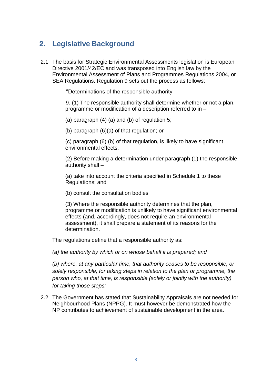# **2. Legislative Background**

2.1 The basis for Strategic Environmental Assessments legislation is European Directive 2001/42/EC and was transposed into English law by the Environmental Assessment of Plans and Programmes Regulations 2004, or SEA Regulations. Regulation 9 sets out the process as follows:

''Determinations of the responsible authority

9. (1) The responsible authority shall determine whether or not a plan, programme or modification of a description referred to in –

(a) paragraph (4) (a) and (b) of regulation 5;

(b) paragraph (6)(a) of that regulation; or

(c) paragraph (6) (b) of that regulation, is likely to have significant environmental effects.

(2) Before making a determination under paragraph (1) the responsible authority shall –

(a) take into account the criteria specified in Schedule 1 to these Regulations; and

(b) consult the consultation bodies

(3) Where the responsible authority determines that the plan, programme or modification is unlikely to have significant environmental effects (and, accordingly, does not require an environmental assessment), it shall prepare a statement of its reasons for the determination.

The regulations define that a responsible authority as:

*(a) the authority by which or on whose behalf it is prepared; and* 

*(b) where, at any particular time, that authority ceases to be responsible, or solely responsible, for taking steps in relation to the plan or programme, the person who, at that time, is responsible (solely or jointly with the authority) for taking those steps;* 

2.2 The Government has stated that Sustainability Appraisals are not needed for Neighbourhood Plans (NPPG). It must however be demonstrated how the NP contributes to achievement of sustainable development in the area.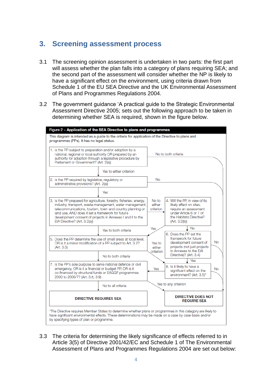## **3. Screening assessment process**

- 3.1 The screening opinion assessment is undertaken in two parts: the first part will assess whether the plan falls into a category of plans requiring SEA; and the second part of the assessment will consider whether the NP is likely to have a significant effect on the environment, using criteria drawn from Schedule 1 of the EU SEA Directive and the UK Environmental Assessment of Plans and Programmes Regulations 2004.
- 3.2 The government guidance 'A practical guide to the Strategic Environmental Assessment Directive 2005; sets out the following approach to be taken in determining whether SEA is required, shown in the figure below.



3.3 The criteria for determining the likely significance of effects referred to in Article 3(5) of Directive 2001/42/EC and Schedule 1 of The Environmental Assessment of Plans and Programmes Regulations 2004 are set out below: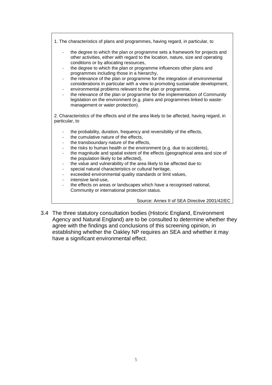1. The characteristics of plans and programmes, having regard, in particular, to the degree to which the plan or programme sets a framework for projects and other activities, either with regard to the location, nature, size and operating conditions or by allocating resources, the degree to which the plan or programme influences other plans and programmes including those in a hierarchy, the relevance of the plan or programme for the integration of environmental considerations in particular with a view to promoting sustainable development, environmental problems relevant to the plan or programme, the relevance of the plan or programme for the implementation of Community legislation on the environment (e.g. plans and programmes linked to wastemanagement or water protection). 2. Characteristics of the effects and of the area likely to be affected, having regard, in particular, to the probability, duration, frequency and reversibility of the effects, the cumulative nature of the effects, the transboundary nature of the effects, the risks to human health or the environment (e.g. due to accidents), the magnitude and spatial extent of the effects (geographical area and size of the population likely to be affected), the value and vulnerability of the area likely to be affected due to: special natural characteristics or cultural heritage. exceeded environmental quality standards or limit values, intensive land-use. the effects on areas or landscapes which have a recognised national, Community or international protection status.

Source: Annex II of SEA Directive 2001/42/EC

3.4 The three statutory consultation bodies (Historic England, Environment Agency and Natural England) are to be consulted to determine whether they agree with the findings and conclusions of this screening opinion, in establishing whether the Oakley NP requires an SEA and whether it may have a significant environmental effect.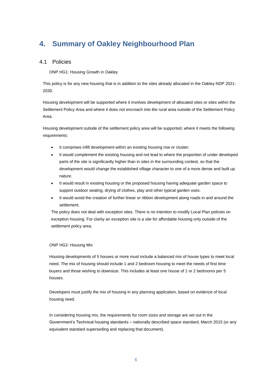# **4. Summary of Oakley Neighbourhood Plan**

### 4.1 Policies

ONP HG1: Housing Growth in Oakley

This policy is for any new housing that is in addition to the sites already allocated in the Oakley NDP 2021- 2030.

Housing development will be supported where it involves development of allocated sites or sites within the Settlement Policy Area and where it does not encroach into the rural area outside of the Settlement Policy Area.

Housing development outside of the settlement policy area will be supported, where it meets the following requirements:

- It comprises infill development within an existing housing row or cluster;
- It would complement the existing housing and not lead to where the proportion of under developed parts of the site is significantly higher than in sites in the surrounding context, so that the development would change the established village character to one of a more dense and built up nature.
- It would result in existing housing or the proposed housing having adequate garden space to support outdoor seating, drying of clothes, play and other typical garden uses.
- It would avoid the creation of further linear or ribbon development along roads in and around the settlement.

The policy does not deal with exception sites. There is no intention to modify Local Plan policies on exception housing. For clarity an exception site is a site for affordable housing only outside of the settlement policy area.

#### ONP HG2: Housing Mix

Housing developments of 5 houses or more must include a balanced mix of house types to meet local need. The mix of housing should include 1 and 2 bedroom housing to meet the needs of first time buyers and those wishing to downsize. This includes at least one house of 1 or 2 bedrooms per 5 houses.

Developers must justify the mix of housing in any planning application, based on evidence of local housing need.

In considering housing mix, the requirements for room sizes and storage are set out in the Government's Technical housing standards – nationally described space standard, March 2015 (or any equivalent standard superseding and replacing that document).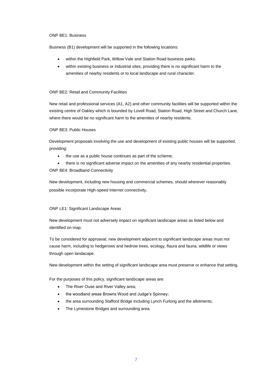#### ONP BE1: Business

Business (B1) development will be supported in the following locations:

- within the Highfield Park, Willow Vale and Station Road business parks.
- within existing business or industrial sites, providing there is no significant harm to the amenities of nearby residents or to local landscape and rural character.

#### ONP BE2: Retail and Community Facilities

New retail and professional services (A1, A2) and other community facilities will be supported within the existing centre of Oakley which is bounded by Lovell Road, Station Road, High Street and Church Lane, where there would be no significant harm to the amenities of nearby residents.

#### ONP BE3: Public Houses

Development proposals involving the use and development of existing public houses will be supported, providing:

the use as a public house continues as part of the scheme;

• there is no significant adverse impact on the amenities of any nearby residential properties. ONP BE4: Broadband Connectivity

New development, including new housing and commercial schemes, should wherever reasonably possible incorporate High-speed Internet connectivity.

#### ONP LE1: Significant Landscape Areas

New development must not adversely impact on significant landscape areas as listed below and identified on map.

To be considered for approaval, new development adjacent to significant landscape areas must not cause harm, including to hedgerows and hedrow trees, ecology, flaura and fauna, wildlife or views through open landacape.

New development within the setting of significant landscape area must preserve or enhance that setting.

For the purposes of this policy, significant landscape areas are:

- The River Ouse and River Valley area;
- the woodland areas Browns Wood and Judge's Spinney;
- the area surrounding Stafford Bridge including Lynch Furlong and the allotments;
- The Lymestone Bridges and surrounding area.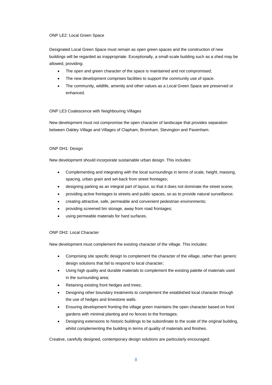#### ONP LE2: Local Green Space

Designated Local Green Space must remain as open green spaces and the construction of new buildings will be regarded as inappropriate. Exceptionally, a small-scale building such as a shed may be allowed, providing:

- The open and green character of the space is maintained and not compromised;
- The new development comprises facilities to support the community use of space.
- The community, wildlife, amenity and other values as a Local Green Space are preserved or enhanced.

#### ONP LE3 Coalescence with Neighbouring Villages

New development must not compromise the open character of landscape that provides separation between Oakley Village and Villages of Clapham, Bromham, Stevington and Pavenham.

#### ONP DH1: Design

New development should incorporate sustainable urban design. This includes:

- Complementing and integrating with the local surroundings in terms of scale, height, massing, spacing, urban grain and set-back from street frontages;
- designing parking as an integral part of layout, so that it does not dominate the street scene;
- providing active frontages to streets and public spaces, so as to provide natural surveillance;
- creating attractive, safe, permeable and convenient pedestrian environments;
- providing screened bin storage, away from road frontages;
- using permeable materials for hard surfaces.

#### ONP DH2: Local Character

New development must complement the existing character of the village. This includes:

- Comprising site specific design to complement the character of the village, rather than generic design solutions that fail to respond to local character;
- Using high quality and durable materials to complement the existing palette of materials used in the surrounding area;
- Retaining existing front hedges and trees;
- Designing other boundary treatments to complement the established local character through the use of hedges and limestone walls.
- Ensuring development fronting the village green maintains the open character based on front gardens with minimal planting and no fences to the frontages;
- Designing extensions to historic buildings to be subordinate to the scale of the original building, whilst complementing the building in terms of quality of materials and finishes.

Creative, carefully designed, contemporary design solutions are particularly encouraged.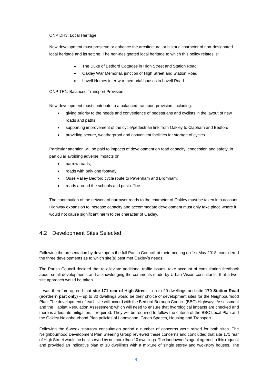ONP DH3: Local Heritage

New development must preserve or enhance the architectural or historic character of non-designated local heritage and its setting. The non-designated local heritage to which this policy relates is:

- The Duke of Bedford Cottages in High Street and Station Road;
- Oakley War Memorial, junction of High Street and Station Road;
- Lovell Homes inter-war memorial houses in Lovell Road.

ONP TR1: Balanced Transport Provision

New development must contribute to a balanced transport provision, including:

- giving priority to the needs and convenience of pedestrians and cyclists in the layout of new roads and paths;
- supporting improvement of the cycle/pedestrian link from Oakley to Clapham and Bedford;
- providing secure, weatherproof and convenient facilities for storage of cycles.

Particular attention will be paid to impacts of development on road capacity, congestion and safety, in particular avoiding adverse impacts on:

- narrow roads;
- roads with only one footway;
- Ouse Valley Bedford cycle route to Pavenham and Bromham;
- roads around the schools and post-office.

The contribution of the network of narrower roads to the character of Oakley must be taken into account. Highway expansion to increase capacity and accommodate development must only take place where it would not cause significant harm to the character of Oakley.

## 4.2 Development Sites Selected

Following the presentation by developers the full Parish Council, at their meeting on 1st May 2018, considered the three developments as to which site(s) best met Oakley's needs.

The Parish Council decided that to alleviate additional traffic issues, take account of consultation feedback about small developments and acknowledging the comments made by Urban Vision consultants, that a twosite approach would be taken.

It was therefore agreed that **site 171 rear of High Street** – up to 20 dwellings and **site 170 Station Road (northern part only)** – up to 30 dwellings would be their choice of development sites for the Neighbourhood Plan. The development of each site will accord with the Bedford Borough Council (BBC) Highways Assessment and the Habitat Regulation Assessment; which will need to ensure that hydrological impacts are checked and there is adequate mitigation, if required. They will be required to follow the criteria of the BBC Local Plan and the Oakley Neighbourhood Plan policies of Landscape, Green Spaces, Housing and Transport.

Following the 6-week statutory consultation period a number of concerns were raised for both sites. The Neighbourhood Development Plan Steering Group reviewed these concerns and concluded that site 171 rear of High Street would be best served by no more than 10 dwellings. The landowner's agent agreed to this request and provided an indicative plan of 10 dwellings with a mixture of single storey and two-story houses. The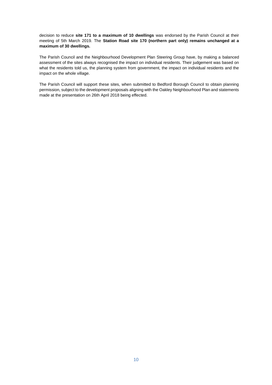decision to reduce **site 171 to a maximum of 10 dwellings** was endorsed by the Parish Council at their meeting of 5th March 2019. The **Station Road site 170 (northern part only) remains unchanged at a maximum of 30 dwellings.**

The Parish Council and the Neighbourhood Development Plan Steering Group have, by making a balanced assessment of the sites always recognised the impact on individual residents. Their judgement was based on what the residents told us, the planning system from government, the impact on individual residents and the impact on the whole village.

The Parish Council will support these sites, when submitted to Bedford Borough Council to obtain planning permission, subject to the development proposals aligning with the Oakley Neighbourhood Plan and statements made at the presentation on 26th April 2018 being effected.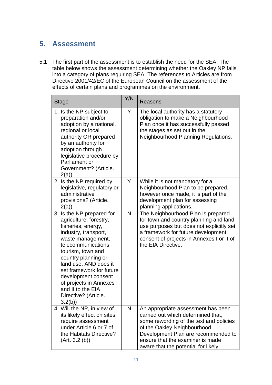# **5. Assessment**

5.1 The first part of the assessment is to establish the need for the SEA. The table below shows the assessment determining whether the Oakley NP falls into a category of plans requiring SEA. The references to Articles are from Directive 2001/42/EC of the European Council on the assessment of the effects of certain plans and programmes on the environment.

| <b>Stage</b>                                                                                                                                                                                                                                                                                                                                             | Y/N          | Reasons                                                                                                                                                                                                                                                              |
|----------------------------------------------------------------------------------------------------------------------------------------------------------------------------------------------------------------------------------------------------------------------------------------------------------------------------------------------------------|--------------|----------------------------------------------------------------------------------------------------------------------------------------------------------------------------------------------------------------------------------------------------------------------|
| 1. Is the NP subject to<br>preparation and/or<br>adoption by a national,<br>regional or local<br>authority OR prepared<br>by an authority for<br>adoption through<br>legislative procedure by<br>Parliament or<br>Government? (Article.<br>2(a)                                                                                                          | Y            | The local authority has a statutory<br>obligation to make a Neighbourhood<br>Plan once it has successfully passed<br>the stages as set out in the<br>Neighbourhood Planning Regulations.                                                                             |
| 2. Is the NP required by<br>legislative, regulatory or<br>administrative<br>provisions? (Article.<br>2(a)                                                                                                                                                                                                                                                | Y            | While it is not mandatory for a<br>Neighbourhood Plan to be prepared,<br>however once made, it is part of the<br>development plan for assessing<br>planning applications.                                                                                            |
| 3. Is the NP prepared for<br>agriculture, forestry,<br>fisheries, energy,<br>industry, transport,<br>waste management,<br>telecommunications,<br>tourism, town and<br>country planning or<br>land use, AND does it<br>set framework for future<br>development consent<br>of projects in Annexes I<br>and II to the EIA<br>Directive? (Article.<br>3.2(b) | $\mathsf{N}$ | The Neighbourhood Plan is prepared<br>for town and country planning and land<br>use purposes but does not explicitly set<br>a framework for future development<br>consent of projects in Annexes I or II of<br>the EIA Directive.                                    |
| 4. Will the NP, in view of<br>its likely effect on sites,<br>require assessment<br>under Article 6 or 7 of<br>the Habitats Directive?<br>(Art. 3.2(b))                                                                                                                                                                                                   | N            | An appropriate assessment has been<br>carried out which determined that,<br>some rewording of the text and policies<br>of the Oakley Neighbourhood<br>Development Plan are recommended to<br>ensure that the examiner is made<br>aware that the potential for likely |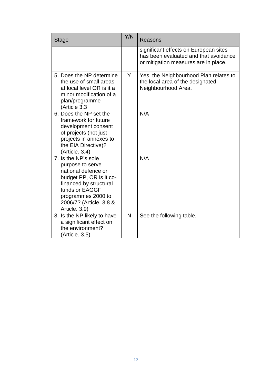| <b>Stage</b>                                                                                                                                                                                            | Y/N | Reasons                                                                                                                |
|---------------------------------------------------------------------------------------------------------------------------------------------------------------------------------------------------------|-----|------------------------------------------------------------------------------------------------------------------------|
|                                                                                                                                                                                                         |     | significant effects on European sites<br>has been evaluated and that avoidance<br>or mitigation measures are in place. |
| 5. Does the NP determine<br>the use of small areas<br>at local level OR is it a<br>minor modification of a<br>plan/programme<br>Article 3.3)                                                            | Y   | Yes, the Neighbourhood Plan relates to<br>the local area of the designated<br>Neighbourhood Area.                      |
| 6. Does the NP set the<br>framework for future<br>development consent<br>of projects (not just<br>projects in annexes to<br>the EIA Directive)?<br>(Article. 3.4)                                       |     | N/A                                                                                                                    |
| 7. Is the NP's sole<br>purpose to serve<br>national defence or<br>budget PP, OR is it co-<br>financed by structural<br>funds or EAGGF<br>programmes 2000 to<br>2006/7? (Article. 3.8 &<br>Article. 3.9) |     | N/A                                                                                                                    |
| 8. Is the NP likely to have<br>a significant effect on<br>the environment?<br>(Article. 3.5)                                                                                                            | N   | See the following table.                                                                                               |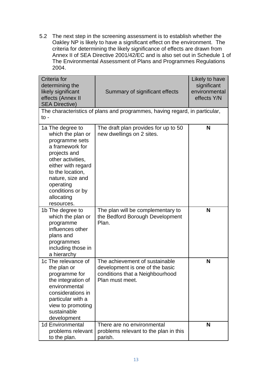5.2 The next step in the screening assessment is to establish whether the Oakley NP is likely to have a significant effect on the environment. The criteria for determining the likely significance of effects are drawn from Annex II of SEA Directive 2001/42/EC and is also set out in Schedule 1 of The Environmental Assessment of Plans and Programmes Regulations 2004.

| Criteria for<br>determining the<br>likely significant<br>effects (Annex II<br><b>SEA Directive)</b>                                                                                                                                        | Summary of significant effects                                                                                          | Likely to have<br>significant<br>environmental<br>effects Y/N |  |  |
|--------------------------------------------------------------------------------------------------------------------------------------------------------------------------------------------------------------------------------------------|-------------------------------------------------------------------------------------------------------------------------|---------------------------------------------------------------|--|--|
| The characteristics of plans and programmes, having regard, in particular,<br>to -                                                                                                                                                         |                                                                                                                         |                                                               |  |  |
| 1a The degree to<br>which the plan or<br>programme sets<br>a framework for<br>projects and<br>other activities,<br>either with regard<br>to the location,<br>nature, size and<br>operating<br>conditions or by<br>allocating<br>resources. | The draft plan provides for up to 50<br>new dwellings on 2 sites.                                                       | N                                                             |  |  |
| 1b The degree to<br>which the plan or<br>programme<br>influences other<br>plans and<br>programmes<br>including those in<br>a hierarchy                                                                                                     | The plan will be complementary to<br>the Bedford Borough Development<br>Plan.                                           | N                                                             |  |  |
| 1c The relevance of<br>the plan or<br>programme for<br>the integration of<br>environmental<br>considerations in<br>particular with a<br>view to promoting<br>sustainable<br>development                                                    | The achievement of sustainable<br>development is one of the basic<br>conditions that a Neighbourhood<br>Plan must meet. | N                                                             |  |  |
| <b>1d Environmental</b><br>problems relevant<br>to the plan.                                                                                                                                                                               | There are no environmental<br>problems relevant to the plan in this<br>parish.                                          | N                                                             |  |  |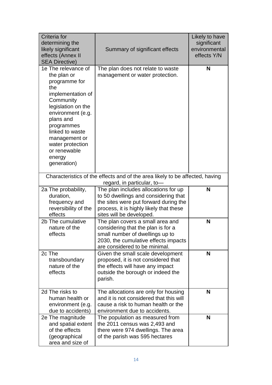| Criteria for<br>determining the<br>likely significant<br>effects (Annex II<br><b>SEA Directive)</b>                                                                                                                                                                 | Summary of significant effects                                                                                                                                                               | Likely to have<br>significant<br>environmental<br>effects Y/N |
|---------------------------------------------------------------------------------------------------------------------------------------------------------------------------------------------------------------------------------------------------------------------|----------------------------------------------------------------------------------------------------------------------------------------------------------------------------------------------|---------------------------------------------------------------|
| 1e The relevance of<br>the plan or<br>programme for<br>the<br>implementation of<br>Community<br>legislation on the<br>environment (e.g.<br>plans and<br>programmes<br>linked to waste<br>management or<br>water protection<br>or renewable<br>energy<br>generation) | The plan does not relate to waste<br>management or water protection.                                                                                                                         | N                                                             |
|                                                                                                                                                                                                                                                                     | Characteristics of the effects and of the area likely to be affected, having<br>regard, in particular, to-                                                                                   |                                                               |
| 2a The probability,<br>duration,<br>frequency and<br>reversibility of the<br>effects                                                                                                                                                                                | The plan includes allocations for up<br>to 50 dwellings and considering that<br>the sites were put forward during the<br>process, it is highly likely that these<br>sites will be developed. | N                                                             |
| 2b The cumulative<br>nature of the<br>effects                                                                                                                                                                                                                       | The plan covers a small area and<br>considering that the plan is for a<br>small number of dwellings up to<br>2030, the cumulative effects impacts<br>are considered to be minimal.           | N                                                             |
| 2c The<br>transboundary<br>nature of the<br>effects                                                                                                                                                                                                                 | Given the small scale development<br>proposed, it is not considered that<br>the effects will have any impact<br>outside the borough or indeed the<br>parish.                                 | N                                                             |
| 2d The risks to<br>human health or<br>environment (e.g.<br>due to accidents)                                                                                                                                                                                        | The allocations are only for housing<br>and it is not considered that this will<br>cause a risk to human health or the<br>environment due to accidents.                                      | N                                                             |
| 2e The magnitude<br>and spatial extent<br>of the effects<br>(geographical<br>area and size of                                                                                                                                                                       | The population as measured from<br>the 2011 census was 2,493 and<br>there were 974 dwellings. The area<br>of the parish was 595 hectares                                                     | N                                                             |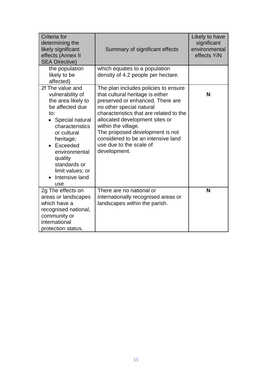| Criteria for<br>determining the<br>likely significant<br>effects (Annex II<br><b>SEA Directive)</b>                                                                                                                                                             | Summary of significant effects                                                                                                                                                                                                                                                                                                                                   | Likely to have<br>significant<br>environmental<br>effects Y/N |
|-----------------------------------------------------------------------------------------------------------------------------------------------------------------------------------------------------------------------------------------------------------------|------------------------------------------------------------------------------------------------------------------------------------------------------------------------------------------------------------------------------------------------------------------------------------------------------------------------------------------------------------------|---------------------------------------------------------------|
| the population<br>likely to be<br>affected)                                                                                                                                                                                                                     | which equates to a population<br>density of 4.2 people per hectare.                                                                                                                                                                                                                                                                                              |                                                               |
| 2f The value and<br>vulnerability of<br>the area likely to<br>be affected due<br>to:<br>• Special natural<br>characteristics<br>or cultural<br>heritage;<br>• Exceeded<br>environmental<br>quality<br>standards or<br>limit values; or<br>Intensive land<br>use | The plan includes policies to ensure<br>that cultural heritage is either<br>preserved or enhanced. There are<br>no other special natural<br>characteristics that are related to the<br>allocated development sites or<br>within the village.<br>The proposed development is not<br>considered to be an intensive land<br>use due to the scale of<br>development. | N                                                             |
| 2g The effects on<br>areas or landscapes<br>which have a<br>recognised national,<br>community or<br>international<br>protection status.                                                                                                                         | There are no national or<br>internationally recognised areas or<br>landscapes within the parish.                                                                                                                                                                                                                                                                 | N                                                             |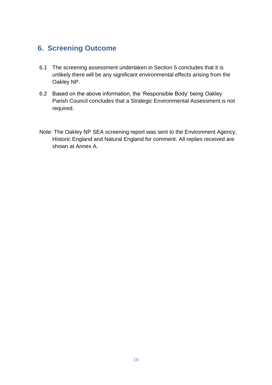## **6. Screening Outcome**

- 6.1 The screening assessment undertaken in Section 5 concludes that it is unlikely there will be any significant environmental effects arising from the Oakley NP.
- 6.2 Based on the above information, the 'Responsible Body' being Oakley Parish Council concludes that a Strategic Environmental Assessment is not required.
- Note: The Oakley NP SEA screening report was sent to the Environment Agency, Historic England and Natural England for comment. All replies received are shown at Annex A.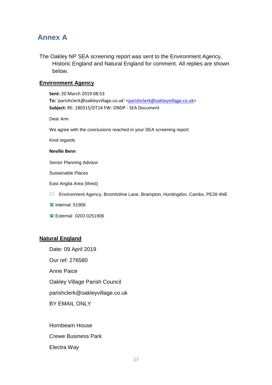## **Annex A**

The Oakley NP SEA screening report was sent to the Environment Agency, Historic England and Natural England for comment. All replies are shown below.

### **Environment Agency**

**Sent:** 20 March 2019 08:53 To: 'parishclerk@oakleyvillage.co.uk' [<parishclerk@oakleyvillage.co.uk>](mailto:parishclerk@oakleyvillage.co.uk) **Subject:** RE: 180315/DT14 FW: ONDP - SEA Document

Dear Ann

We agree with the conclusions reached in your SEA screening report.

Kind regards

#### **Neville Benn**

Senior Planning Advisor

Sustainable Places

East Anglia Area (West)

Environment Agency, Bromholme Lane, Brampton, Huntingdon, Cambs. PE28 4NE

 $\blacksquare$ Internal: 51906

External: 0203 0251906

## **Natural England**

Date: 09 April 2019

Our ref: 276580

Anne Paice

Oakley Village Parish Council

parishclerk@oakleyvillage.co.uk

BY EMAIL ONLY

Hornbeam House Crewe Business Park Electra Way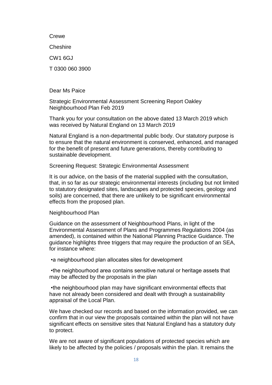**Crewe Cheshire** CW1 6GJ T 0300 060 3900

Dear Ms Paice

Strategic Environmental Assessment Screening Report Oakley Neighbourhood Plan Feb 2019

Thank you for your consultation on the above dated 13 March 2019 which was received by Natural England on 13 March 2019

Natural England is a non-departmental public body. Our statutory purpose is to ensure that the natural environment is conserved, enhanced, and managed for the benefit of present and future generations, thereby contributing to sustainable development.

Screening Request: Strategic Environmental Assessment

It is our advice, on the basis of the material supplied with the consultation, that, in so far as our strategic environmental interests (including but not limited to statutory designated sites, landscapes and protected species, geology and soils) are concerned, that there are unlikely to be significant environmental effects from the proposed plan.

Neighbourhood Plan

Guidance on the assessment of Neighbourhood Plans, in light of the Environmental Assessment of Plans and Programmes Regulations 2004 (as amended), is contained within the National Planning Practice Guidance. The guidance highlights three triggers that may require the production of an SEA, for instance where:

•a neighbourhood plan allocates sites for development

•the neighbourhood area contains sensitive natural or heritage assets that may be affected by the proposals in the plan

•the neighbourhood plan may have significant environmental effects that have not already been considered and dealt with through a sustainability appraisal of the Local Plan.

We have checked our records and based on the information provided, we can confirm that in our view the proposals contained within the plan will not have significant effects on sensitive sites that Natural England has a statutory duty to protect.

We are not aware of significant populations of protected species which are likely to be affected by the policies / proposals within the plan. It remains the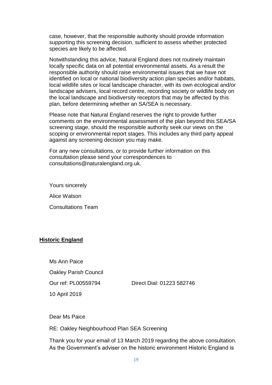case, however, that the responsible authority should provide information supporting this screening decision, sufficient to assess whether protected species are likely to be affected.

Notwithstanding this advice, Natural England does not routinely maintain locally specific data on all potential environmental assets. As a result the responsible authority should raise environmental issues that we have not identified on local or national biodiversity action plan species and/or habitats, local wildlife sites or local landscape character, with its own ecological and/or landscape advisers, local record centre, recording society or wildlife body on the local landscape and biodiversity receptors that may be affected by this plan, before determining whether an SA/SEA is necessary.

Please note that Natural England reserves the right to provide further comments on the environmental assessment of the plan beyond this SEA/SA screening stage, should the responsible authority seek our views on the scoping or environmental report stages. This includes any third party appeal against any screening decision you may make.

For any new consultations, or to provide further information on this consultation please send your correspondences to consultations@naturalengland.org.uk.

Yours sincerely Alice Watson Consultations Team

## **Historic England**

Ms Ann Paice

Oakley Parish Council

Our ref: PL00559794 Direct Dial: 01223 582746

10 April 2019

Dear Ms Paice

RE: Oakley Neighbourhood Plan SEA Screening

Thank you for your email of 13 March 2019 regarding the above consultation. As the Government's adviser on the historic environment Historic England is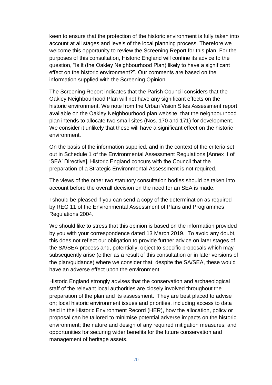keen to ensure that the protection of the historic environment is fully taken into account at all stages and levels of the local planning process. Therefore we welcome this opportunity to review the Screening Report for this plan. For the purposes of this consultation, Historic England will confine its advice to the question, "Is it (the Oakley Neighbourhood Plan) likely to have a significant effect on the historic environment?". Our comments are based on the information supplied with the Screening Opinion.

The Screening Report indicates that the Parish Council considers that the Oakley Neighbourhood Plan will not have any significant effects on the historic environment. We note from the Urban Vision Sites Assessment report, available on the Oakley Neighbourhood plan website, that the neighbourhood plan intends to allocate two small sites (Nos. 170 and 171) for development. We consider it unlikely that these will have a significant effect on the historic environment.

On the basis of the information supplied, and in the context of the criteria set out in Schedule 1 of the Environmental Assessment Regulations [Annex II of 'SEA' Directive], Historic England concurs with the Council that the preparation of a Strategic Environmental Assessment is not required.

The views of the other two statutory consultation bodies should be taken into account before the overall decision on the need for an SEA is made.

I should be pleased if you can send a copy of the determination as required by REG 11 of the Environmental Assessment of Plans and Programmes Regulations 2004.

We should like to stress that this opinion is based on the information provided by you with your correspondence dated 13 March 2019. To avoid any doubt, this does not reflect our obligation to provide further advice on later stages of the SA/SEA process and, potentially, object to specific proposals which may subsequently arise (either as a result of this consultation or in later versions of the plan/guidance) where we consider that, despite the SA/SEA, these would have an adverse effect upon the environment.

Historic England strongly advises that the conservation and archaeological staff of the relevant local authorities are closely involved throughout the preparation of the plan and its assessment. They are best placed to advise on; local historic environment issues and priorities, including access to data held in the Historic Environment Record (HER), how the allocation, policy or proposal can be tailored to minimise potential adverse impacts on the historic environment; the nature and design of any required mitigation measures; and opportunities for securing wider benefits for the future conservation and management of heritage assets.